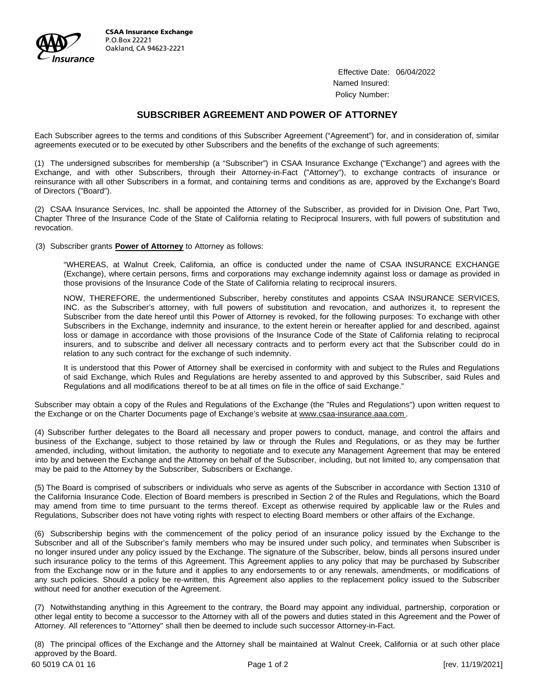

Effective Date: 06/04/2022 Named Insured: Policy Number:

## **SUBSCRIBER AGREEMENT AND POWER OF ATTORNEY**

Each Subscriber agrees to the terms and conditions of this Subscriber Agreement ("Agreement") for, and in consideration of, similar agreements executed or to be executed by other Subscribers and the benefits of the exchange of such agreements:

agreements executed or to be executed by other Subscribers and the benefits of the exchange of such agreements:<br>(1) The undersigned subscribes for membership (a "Subscriber") in CSAA Insurance Exchange ("Exchange") and agr The undersigned subscribes for membership (a "Subscriber") in CSAA Insurance Exchange ("Exchange") and agrees with the<br>Exchange, and with other Subscribers, through their Attorney-in-Fact ("Attorney"), to exchange contract (1) The undersigned subscribes for membership (a "Subscriber") in CSAA Insurance Exchange ("Exchange") and agrees with the<br>Exchange, and with other Subscribers, through their Attorney-in-Fact ("Attorney"), to exchange cont Exchange, and with other Subscribers, through their Attorney-in-Fact ("Attorney"), to exchange contracts of insurance or reinsurance with all other Subscribers in a format, and containing terms and conditions as are, appro

(2) CSAA Insurance Services, Inc. shall be appointed the Attorney of the Subscriber, as provided for in Division One, Part Two, Chapter Three of the Insurance Code of the State of California relating to Reciprocal Insurers, with full powers of substitution and revocation.

(3) Subscriber grants **Power of Attorney** to Attorney as follows:

"WHEREAS, at Walnut Creek, California, an office is conducted under the name of CSAA INSURANCE EXCHANGE (Exchange), where certain persons, firms and corporations may exchange indemnity against loss or damage as provided in those provisions of the Insurance Code of the State of California relating to reciprocal insurers.

NOW, THEREFORE, the undermentioned Subscriber, hereby constitutes and appoints CSAA INSURANCE SERVICES, INC. as the Subscriber's attorney, with full powers of substitution and revocation, and authorizes it, to represent the NOW, THEREFORE, the undermentioned Subscriber, hereby constitutes and appoints CSAA INSURANCE SERVICES,<br>INC. as the Subscriber's attorney, with full powers of substitution and revocation, and authorizes it, to represent th INC. as the Subscriber's attorney, with full powers of substitution and revocation, and authorizes it, to represent the Subscriber from the date hereof until this Power of Attorney is revoked, for the following purposes: T Subscriber from the date hereof until this Power of Attorney is revoked, for the following purposes: To exchange with other<br>Subscribers in the Exchange, indemnity and insurance, to the extent herein or hereafter applied fo Subscribers in the Exchange, indemnity and insurance, to the extent herein or hereafter applied for and described, against loss or damage in accordance with those provisions of the Insurance Code of the State of California loss or damage in accordance with those provisions of the Insurance Code of the State of California relating to reciprocal

It is understood that this Power of Attorney shall be exercised in conformity with and subject to the Rules and Regulations<br>It is understood that this Power of Attorney shall be exercised in conformity with and subject to of said Exchange, which Rules and Regulations are hereby assented to and approved by this Subscriber, said Rules and<br>Regulations and all modifications thereof to be at all times on file in the office of said Exchange." It is understood that this Power of Attorney shall be exercised in conformity with and subject to th<br>of said Exchange, which Rules and Regulations are hereby assented to and approved by this Su<br>Regulations and all modifica

Subscriber may obtain a copy of the Rules and Regulations of the Exchange (the "Rules and Regulations") upon written request to the Exchange or on the Charter Documents page of Exchange's website at www.csaa-insurance.aaa.com.

(4) Subscriber further delegates to the Board all necessary and proper powers to conduct, manage, and control the affairs and (4) Subscriber further delegates to the Board all necessary and proper powers to conduct, manage, and control the affairs and business of the Exchange, subject to those retained by law or through the Rules and Regulations, (4) Subscriber further delegates to the Board all necessary and proper powers to conduct, manage, and control the affairs and<br>business of the Exchange, subject to those retained by law or through the Rules and Regulations, business of the Exchange, subject to those retained by law or through the Rules and Regulations, or as they may be further amended, including, without limitation, the authority to negotiate and to execute any Management Ag amended, including, without limitation, the authority to negotiate and to execute any Management Agreement that may be entered into by and between the Exchange and the Attorney on behalf of the Subscriber, including, but n

(5) The Board is comprised of subscribers or individuals who serve as agents of the Subscriber in accordance with Section 1310 of The Board is comprised of subscribers or individuals who serve as agents of the Subscriber in accordance with Section 1310 of<br>the California Insurance Code. Election of Board members is prescribed in Section 2 of the Rules (5) The Board is comprised of subscribers or individuals who serve as agents of the Subscriber in accordance with Section 1310 of<br>the California Insurance Code. Election of Board members is prescribed in Section 2 of the R the California Insurance Code. Election of Board members is prescribed in Section 2 of the Rules and Regulations, which the E<br>may amend from time to time pursuant to the terms thereof. Except as otherwise required by appli Regulations, Subscriber does not have voting rights with respect to electing Board members or other affairs of the Exchange.<br>(6) Subscribership begins with the commencement of the policy period of an insurance policy issue

Subscriber and all of the Subscriber's family members who may be insured under such policy, and terminates when Subscriber is (6) Subscribership begins with the commencement of the policy period of an insurance policy issued by the Exchange to the Subscriber and all of the Subscriber's family members who may be insured under such policy, and term Subscriber and all of the Subscriber's family members who may be insured under such policy, and terminates when Subscriber is<br>no longer insured under any policy issued by the Exchange. The signature of the Subscriber, belo from the Exchange now or in the future and it applies to any endorsements to any policy that may be purchased by Subscriber<br>from the Exchange now or in the future and it applies to any endorsements to or any renewals, amen such insurance policy to the terms of this Agreement. This Agreement applies to any policy that may be purchased by Subscriber from the Exchange now or in the future and it applies to any endorsements to or any renewals, a from the Exchange now or in the future and it applies to any endorsements to or any renewals, amendments, or modifications of

without need for another execution of the Agreement.<br>(7) Notwithstanding anything in this Agreement to the contrary, the Board may appoint any individual, partnership, corporation or<br>other legal optitute became a successor (7) Notwithstanding anything in this Agreement to the contrary, the Board may appoint any individual, partnership, corporation or other legal entity to become a successor to the Attorney with all of the powers and duties s (7) Notwithstanding anything in this Agreement to the contrary, the Board may appoint any individual, other legal entity to become a successor to the Attorney with all of the powers and duties stated in this Attorney. All

Attorney. All references to "Attorney" shall then be deemed to include such successor Attorney-in-Fact.<br>(8) The principal offices of the Exchange and the Attorney shall be maintained at Walnut Creek, California or at such (8) The principal offices<br>approved by the Board. 80 The principal offices of the Exchange and the Attorney shall be maintained at Walnut Creek, California or at such other place<br>approved by the Board.<br>60 5019 CA 01 16 [rev. 11/19/2021]